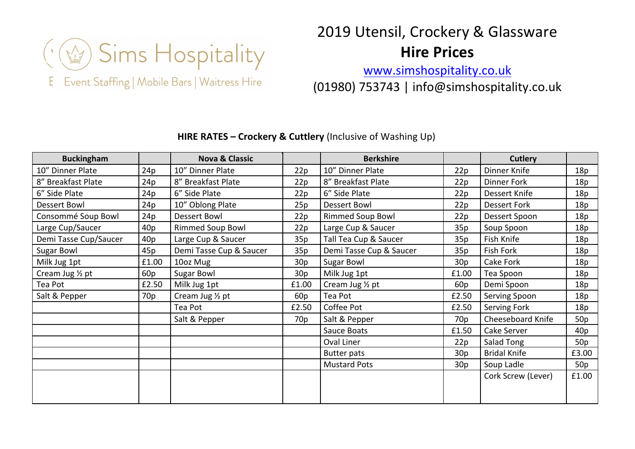

Event Staffing | Mobile Bars | Waitress Hire E.

## 2019 Utensil, Crockery & Glassware **Hire Prices**

www.simshospitality.co.uk (01980) 753743 | info@simshospitality.co.uk

## **HIRE RATES – Crockery & Cuttlery** (Inclusive of Washing Up)

| <b>Buckingham</b>     |                 | <b>Nova &amp; Classic</b> |       | <b>Berkshire</b>        |                 | Cutlery             |       |
|-----------------------|-----------------|---------------------------|-------|-------------------------|-----------------|---------------------|-------|
| 10" Dinner Plate      | 24p             | 10" Dinner Plate          | 22p   | 10" Dinner Plate        | 22p             | Dinner Knife        | 18p   |
| 8" Breakfast Plate    | 24p             | 8" Breakfast Plate        | 22p   | 8" Breakfast Plate      | 22p             | Dinner Fork         | 18p   |
| 6" Side Plate         | 24p             | 6" Side Plate             | 22p   | 6" Side Plate           | 22p             | Dessert Knife       | 18p   |
| <b>Dessert Bowl</b>   | 24p             | 10" Oblong Plate          | 25p   | <b>Dessert Bowl</b>     | 22p             | <b>Dessert Fork</b> | 18p   |
| Consommé Soup Bowl    | 24 <sub>p</sub> | Dessert Bowl              | 22p   | <b>Rimmed Soup Bowl</b> | 22p             | Dessert Spoon       | 18p   |
| Large Cup/Saucer      | 40 <sub>p</sub> | <b>Rimmed Soup Bowl</b>   | 22p   | Large Cup & Saucer      | 35p             | Soup Spoon          | 18p   |
| Demi Tasse Cup/Saucer | 40p             | Large Cup & Saucer        | 35p   | Tall Tea Cup & Saucer   | 35p             | Fish Knife          | 18p   |
| Sugar Bowl            | 45p             | Demi Tasse Cup & Saucer   | 35p   | Demi Tasse Cup & Saucer | 35p             | Fish Fork           | 18p   |
| Milk Jug 1pt          | £1.00           | 10oz Mug                  | 30p   | <b>Sugar Bowl</b>       | 30p             | Cake Fork           | 18p   |
| Cream Jug 1/2 pt      | 60p             | Sugar Bowl                | 30p   | Milk Jug 1pt            | £1.00           | Tea Spoon           | 18p   |
| Tea Pot               | £2.50           | Milk Jug 1pt              | £1.00 | Cream Jug 1/2 pt        | 60p             | Demi Spoon          | 18p   |
| Salt & Pepper         | 70 <sub>p</sub> | Cream Jug 1/2 pt          | 60p   | Tea Pot                 | £2.50           | Serving Spoon       | 18p   |
|                       |                 | Tea Pot                   | £2.50 | Coffee Pot              | £2.50           | Serving Fork        | 18p   |
|                       |                 | Salt & Pepper             | 70p   | Salt & Pepper           | 70 <sub>p</sub> | Cheeseboard Knife   | 50p   |
|                       |                 |                           |       | Sauce Boats             | £1.50           | Cake Server         | 40p   |
|                       |                 |                           |       | Oval Liner              | 22p             | Salad Tong          | 50p   |
|                       |                 |                           |       | <b>Butter pats</b>      | 30p             | <b>Bridal Knife</b> | £3.00 |
|                       |                 |                           |       | <b>Mustard Pots</b>     | 30p             | Soup Ladle          | 50p   |
|                       |                 |                           |       |                         |                 | Cork Screw (Lever)  | £1.00 |
|                       |                 |                           |       |                         |                 |                     |       |